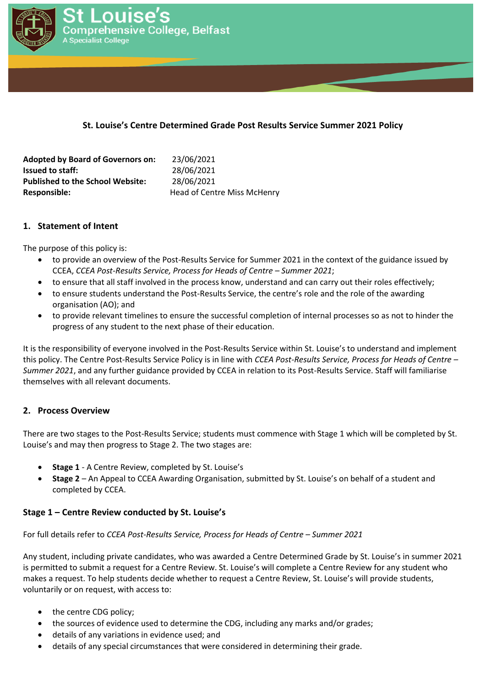

### **St. Louise's Centre Determined Grade Post Results Service Summer 2021 Policy**

| <b>Adopted by Board of Governors on:</b> | 23/06/2021                  |
|------------------------------------------|-----------------------------|
| <b>Issued to staff:</b>                  | 28/06/2021                  |
| <b>Published to the School Website:</b>  | 28/06/2021                  |
| Responsible:                             | Head of Centre Miss McHenry |

#### **1. Statement of Intent**

The purpose of this policy is:

- to provide an overview of the Post-Results Service for Summer 2021 in the context of the guidance issued by CCEA, *CCEA Post-Results Service, Process for Heads of Centre – Summer 2021*;
- to ensure that all staff involved in the process know, understand and can carry out their roles effectively;
- to ensure students understand the Post-Results Service, the centre's role and the role of the awarding organisation (AO); and
- to provide relevant timelines to ensure the successful completion of internal processes so as not to hinder the progress of any student to the next phase of their education.

It is the responsibility of everyone involved in the Post-Results Service within St. Louise's to understand and implement this policy. The Centre Post-Results Service Policy is in line with *CCEA Post-Results Service, Process for Heads of Centre – Summer 2021*, and any further guidance provided by CCEA in relation to its Post-Results Service. Staff will familiarise themselves with all relevant documents.

# **2. Process Overview**

There are two stages to the Post-Results Service; students must commence with Stage 1 which will be completed by St. Louise's and may then progress to Stage 2. The two stages are:

- **Stage 1** A Centre Review, completed by St. Louise's
- **Stage 2** An Appeal to CCEA Awarding Organisation, submitted by St. Louise's on behalf of a student and completed by CCEA.

#### **Stage 1 – Centre Review conducted by St. Louise's**

For full details refer to *CCEA Post-Results Service, Process for Heads of Centre – Summer 2021*

Any student, including private candidates, who was awarded a Centre Determined Grade by St. Louise's in summer 2021 is permitted to submit a request for a Centre Review. St. Louise's will complete a Centre Review for any student who makes a request. To help students decide whether to request a Centre Review, St. Louise's will provide students, voluntarily or on request, with access to:

- the centre CDG policy;
- the sources of evidence used to determine the CDG, including any marks and/or grades;
- details of any variations in evidence used; and
- details of any special circumstances that were considered in determining their grade.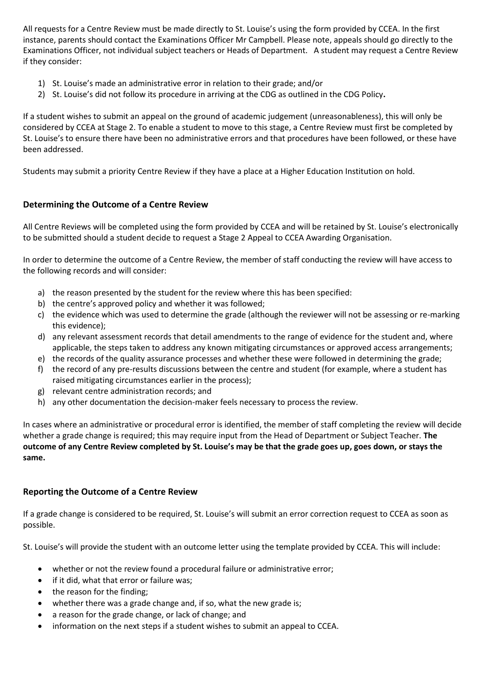All requests for a Centre Review must be made directly to St. Louise's using the form provided by CCEA. In the first instance, parents should contact the Examinations Officer Mr Campbell. Please note, appeals should go directly to the Examinations Officer, not individual subject teachers or Heads of Department. A student may request a Centre Review if they consider:

- 1) St. Louise's made an administrative error in relation to their grade; and/or
- 2) St. Louise's did not follow its procedure in arriving at the CDG as outlined in the CDG Policy**.**

If a student wishes to submit an appeal on the ground of academic judgement (unreasonableness), this will only be considered by CCEA at Stage 2. To enable a student to move to this stage, a Centre Review must first be completed by St. Louise's to ensure there have been no administrative errors and that procedures have been followed, or these have been addressed.

Students may submit a priority Centre Review if they have a place at a Higher Education Institution on hold.

# **Determining the Outcome of a Centre Review**

All Centre Reviews will be completed using the form provided by CCEA and will be retained by St. Louise's electronically to be submitted should a student decide to request a Stage 2 Appeal to CCEA Awarding Organisation.

In order to determine the outcome of a Centre Review, the member of staff conducting the review will have access to the following records and will consider:

- a) the reason presented by the student for the review where this has been specified:
- b) the centre's approved policy and whether it was followed;
- c) the evidence which was used to determine the grade (although the reviewer will not be assessing or re-marking this evidence);
- d) any relevant assessment records that detail amendments to the range of evidence for the student and, where applicable, the steps taken to address any known mitigating circumstances or approved access arrangements;
- e) the records of the quality assurance processes and whether these were followed in determining the grade;
- f) the record of any pre-results discussions between the centre and student (for example, where a student has raised mitigating circumstances earlier in the process);
- g) relevant centre administration records; and
- h) any other documentation the decision-maker feels necessary to process the review.

In cases where an administrative or procedural error is identified, the member of staff completing the review will decide whether a grade change is required; this may require input from the Head of Department or Subject Teacher. **The outcome of any Centre Review completed by St. Louise's may be that the grade goes up, goes down, or stays the same.**

# **Reporting the Outcome of a Centre Review**

If a grade change is considered to be required, St. Louise's will submit an error correction request to CCEA as soon as possible.

St. Louise's will provide the student with an outcome letter using the template provided by CCEA. This will include:

- whether or not the review found a procedural failure or administrative error;
- if it did, what that error or failure was;
- the reason for the finding;
- whether there was a grade change and, if so, what the new grade is;
- a reason for the grade change, or lack of change; and
- information on the next steps if a student wishes to submit an appeal to CCEA.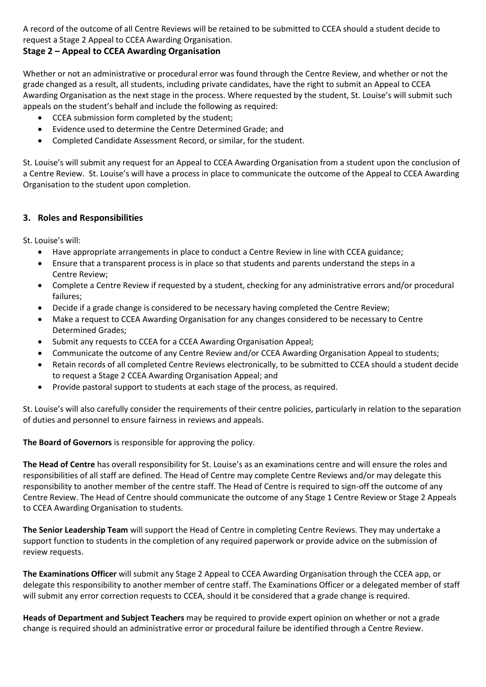A record of the outcome of all Centre Reviews will be retained to be submitted to CCEA should a student decide to request a Stage 2 Appeal to CCEA Awarding Organisation.

# **Stage 2 – Appeal to CCEA Awarding Organisation**

Whether or not an administrative or procedural error was found through the Centre Review, and whether or not the grade changed as a result, all students, including private candidates, have the right to submit an Appeal to CCEA Awarding Organisation as the next stage in the process. Where requested by the student, St. Louise's will submit such appeals on the student's behalf and include the following as required:

- CCEA submission form completed by the student;
- Evidence used to determine the Centre Determined Grade; and
- Completed Candidate Assessment Record, or similar, for the student.

St. Louise's will submit any request for an Appeal to CCEA Awarding Organisation from a student upon the conclusion of a Centre Review. St. Louise's will have a process in place to communicate the outcome of the Appeal to CCEA Awarding Organisation to the student upon completion.

# **3. Roles and Responsibilities**

St. Louise's will:

- Have appropriate arrangements in place to conduct a Centre Review in line with CCEA guidance;
- Ensure that a transparent process is in place so that students and parents understand the steps in a Centre Review;
- Complete a Centre Review if requested by a student, checking for any administrative errors and/or procedural failures;
- Decide if a grade change is considered to be necessary having completed the Centre Review;
- Make a request to CCEA Awarding Organisation for any changes considered to be necessary to Centre Determined Grades;
- Submit any requests to CCEA for a CCEA Awarding Organisation Appeal;
- Communicate the outcome of any Centre Review and/or CCEA Awarding Organisation Appeal to students;
- Retain records of all completed Centre Reviews electronically, to be submitted to CCEA should a student decide to request a Stage 2 CCEA Awarding Organisation Appeal; and
- Provide pastoral support to students at each stage of the process, as required.

St. Louise's will also carefully consider the requirements of their centre policies, particularly in relation to the separation of duties and personnel to ensure fairness in reviews and appeals.

**The Board of Governors** is responsible for approving the policy.

**The Head of Centre** has overall responsibility for St. Louise's as an examinations centre and will ensure the roles and responsibilities of all staff are defined. The Head of Centre may complete Centre Reviews and/or may delegate this responsibility to another member of the centre staff. The Head of Centre is required to sign-off the outcome of any Centre Review. The Head of Centre should communicate the outcome of any Stage 1 Centre Review or Stage 2 Appeals to CCEA Awarding Organisation to students.

**The Senior Leadership Team** will support the Head of Centre in completing Centre Reviews. They may undertake a support function to students in the completion of any required paperwork or provide advice on the submission of review requests.

**The Examinations Officer** will submit any Stage 2 Appeal to CCEA Awarding Organisation through the CCEA app, or delegate this responsibility to another member of centre staff. The Examinations Officer or a delegated member of staff will submit any error correction requests to CCEA, should it be considered that a grade change is required.

**Heads of Department and Subject Teachers** may be required to provide expert opinion on whether or not a grade change is required should an administrative error or procedural failure be identified through a Centre Review.